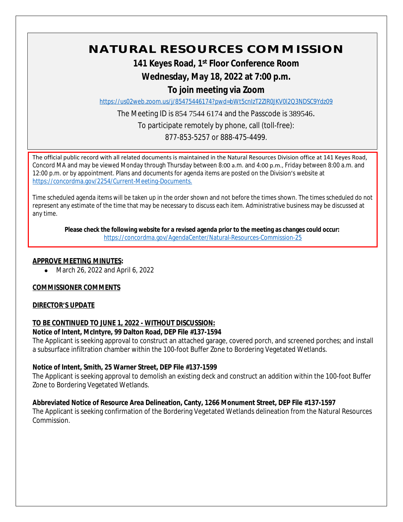# **NATURAL RESOURCES COMMISSION**

# **141 Keyes Road, 1st Floor Conference Room**

# **Wednesday, May 18, 2022 at 7:00 p.m.**

# **To join meeting via Zoom**

<https://us02web.zoom.us/j/85475446174?pwd=bWt5cnIzT2ZIR0JKV0l2Q3NDSC9Ydz09>

The Meeting ID is 854 7544 6174 and the Passcode is 389546.

To participate remotely by phone, call (toll-free):

877-853-5257 or 888-475-4499.

The official public record with all related documents is maintained in the Natural Resources Division office at 141 Keyes Road, Concord MA and may be viewed Monday through Thursday between 8:00 a.m. and 4:00 p.m., Friday between 8:00 a.m. and 12:00 p.m. or by appointment. Plans and documents for agenda items are posted on the Division's website at [https://concordma.gov/2254/Current-Meeting-Documents.](https://concordma.gov/2254/Current-Meeting-Documents)

Time scheduled agenda items will be taken up in the order shown and not before the times shown. The times scheduled do not represent any estimate of the time that may be necessary to discuss each item. Administrative business may be discussed at any time.

**Please check the following website for a revised agenda prior to the meeting as changes could occur:**  <https://concordma.gov/AgendaCenter/Natural-Resources-Commission-25>

## **APPROVE MEETING MINUTES:**

• March 26, 2022 and April 6, 2022

# **COMMISSIONER COMMENTS**

#### **DIRECTOR'S UPDATE**

# **TO BE CONTINUED TO JUNE 1, 2022 - WITHOUT DISCUSSION:**

#### **Notice of Intent, McIntyre, 99 Dalton Road, DEP File #137-1594**

The Applicant is seeking approval to construct an attached garage, covered porch, and screened porches; and install a subsurface infiltration chamber within the 100-foot Buffer Zone to Bordering Vegetated Wetlands.

#### **Notice of Intent, Smith, 25 Warner Street, DEP File #137-1599**

The Applicant is seeking approval to demolish an existing deck and construct an addition within the 100-foot Buffer Zone to Bordering Vegetated Wetlands.

# **Abbreviated Notice of Resource Area Delineation, Canty, 1266 Monument Street, DEP File #137-1597**

The Applicant is seeking confirmation of the Bordering Vegetated Wetlands delineation from the Natural Resources Commission.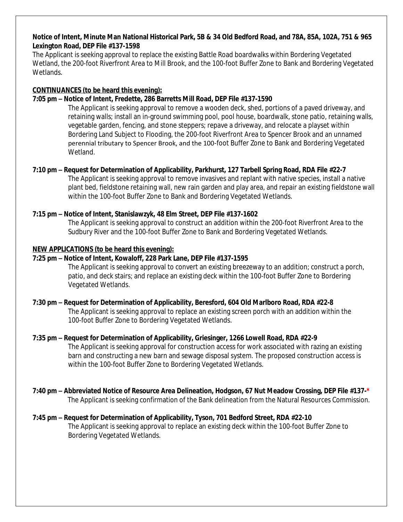#### **Notice of Intent, Minute Man National Historical Park, 5B & 34 Old Bedford Road, and 78A, 85A, 102A, 751 & 965 Lexington Road, DEP File #137-1598**

The Applicant is seeking approval to replace the existing Battle Road boardwalks within Bordering Vegetated Wetland, the 200-foot Riverfront Area to Mill Brook, and the 100-foot Buffer Zone to Bank and Bordering Vegetated Wetlands.

## **CONTINUANCES (to be heard this evening):**

# **7:05 pm – Notice of Intent, Fredette, 286 Barretts Mill Road, DEP File #137-1590**

The Applicant is seeking approval to remove a wooden deck, shed, portions of a paved driveway, and retaining walls; install an in-ground swimming pool, pool house, boardwalk, stone patio, retaining walls, vegetable garden, fencing, and stone steppers; repave a driveway, and relocate a playset within Bordering Land Subject to Flooding, the 200-foot Riverfront Area to Spencer Brook and an unnamed perennial tributary to Spencer Brook, and the 100-foot Buffer Zone to Bank and Bordering Vegetated Wetland.

## **7:10 pm – Request for Determination of Applicability, Parkhurst, 127 Tarbell Spring Road, RDA File #22-7**

The Applicant is seeking approval to remove invasives and replant with native species, install a native plant bed, fieldstone retaining wall, new rain garden and play area, and repair an existing fieldstone wall within the 100-foot Buffer Zone to Bank and Bordering Vegetated Wetlands.

## **7:15 pm – Notice of Intent, Stanislawzyk, 48 Elm Street, DEP File #137-1602**

The Applicant is seeking approval to construct an addition within the 200-foot Riverfront Area to the Sudbury River and the 100-foot Buffer Zone to Bank and Bordering Vegetated Wetlands.

## **NEW APPLICATIONS (to be heard this evening):**

# **7:25 pm – Notice of Intent, Kowaloff, 228 Park Lane, DEP File #137-1595**

The Applicant is seeking approval to convert an existing breezeway to an addition; construct a porch, patio, and deck stairs; and replace an existing deck within the 100-foot Buffer Zone to Bordering Vegetated Wetlands.

#### **7:30 pm – Request for Determination of Applicability, Beresford, 604 Old Marlboro Road, RDA #22-8**

The Applicant is seeking approval to replace an existing screen porch with an addition within the 100-foot Buffer Zone to Bordering Vegetated Wetlands.

#### **7:35 pm – Request for Determination of Applicability, Griesinger, 1266 Lowell Road, RDA #22-9**

The Applicant is seeking approval for construction access for work associated with razing an existing barn and constructing a new barn and sewage disposal system. The proposed construction access is within the 100-foot Buffer Zone to Bordering Vegetated Wetlands.

# **7:40 pm – Abbreviated Notice of Resource Area Delineation, Hodgson, 67 Nut Meadow Crossing, DEP File #137-\***

The Applicant is seeking confirmation of the Bank delineation from the Natural Resources Commission.

#### **7:45 pm – Request for Determination of Applicability, Tyson, 701 Bedford Street, RDA #22-10**

The Applicant is seeking approval to replace an existing deck within the 100-foot Buffer Zone to Bordering Vegetated Wetlands.